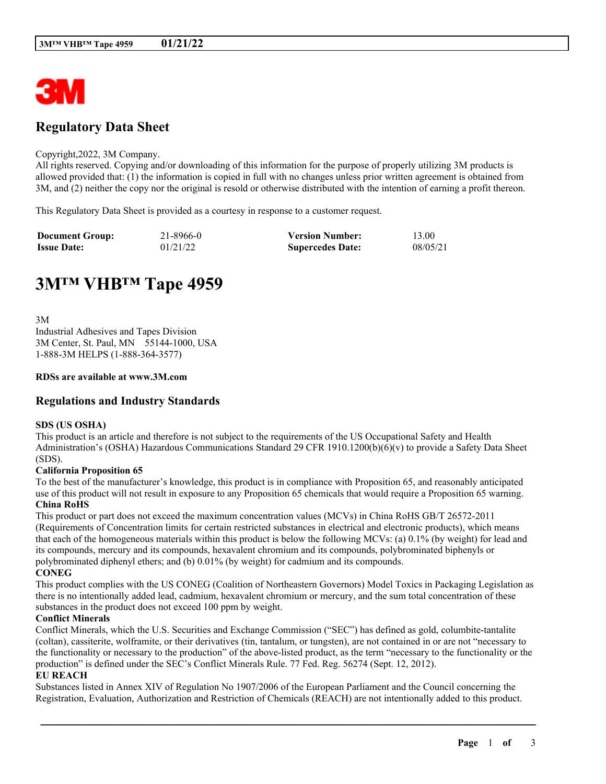

# **Regulatory Data Sheet**

#### Copyright,2022, 3M Company.

All rights reserved. Copying and/or downloading of this information for the purpose of properly utilizing 3M products is allowed provided that: (1) the information is copied in full with no changes unless prior written agreement is obtained from 3M, and (2) neither the copy nor the original is resold or otherwise distributed with the intention of earning a profit thereon.

This Regulatory Data Sheet is provided as a courtesy in response to a customer request.

| <b>Document Group:</b> | 21-8966-0 | <b>Version Number:</b>  | 13.00    |
|------------------------|-----------|-------------------------|----------|
| <b>Issue Date:</b>     | 01/21/22  | <b>Supercedes Date:</b> | 08/05/21 |

# **3M™ VHB™ Tape 4959**

3M Industrial Adhesives and Tapes Division 3M Center, St. Paul, MN 55144-1000, USA 1-888-3M HELPS (1-888-364-3577)

#### **RDSs are available at www.3M.com**

# **Regulations and Industry Standards**

#### **SDS (US OSHA)**

This product is an article and therefore is not subject to the requirements of the US Occupational Safety and Health Administration's (OSHA) Hazardous Communications Standard 29 CFR 1910.1200(b)(6)(v) to provide a Safety Data Sheet (SDS).

#### **California Proposition 65**

To the best of the manufacturer's knowledge, this product is in compliance with Proposition 65, and reasonably anticipated use of this product will not result in exposure to any Proposition 65 chemicals that would require a Proposition 65 warning. **China RoHS**

This product or part does not exceed the maximum concentration values (MCVs) in China RoHS GB/T 26572-2011 (Requirements of Concentration limits for certain restricted substances in electrical and electronic products), which means that each of the homogeneous materials within this product is below the following MCVs: (a) 0.1% (by weight) for lead and its compounds, mercury and its compounds, hexavalent chromium and its compounds, polybrominated biphenyls or polybrominated diphenyl ethers; and (b) 0.01% (by weight) for cadmium and its compounds. **CONEG**

This product complies with the US CONEG (Coalition of Northeastern Governors) Model Toxics in Packaging Legislation as there is no intentionally added lead, cadmium, hexavalent chromium or mercury, and the sum total concentration of these substances in the product does not exceed 100 ppm by weight.

#### **Conflict Minerals**

Conflict Minerals, which the U.S. Securities and Exchange Commission ("SEC") has defined as gold, columbite-tantalite (coltan), cassiterite, wolframite, or their derivatives (tin, tantalum, or tungsten), are not contained in or are not "necessary to the functionality or necessary to the production" of the above-listed product, as the term "necessary to the functionality or the production" is defined under the SEC's Conflict Minerals Rule. 77 Fed. Reg. 56274 (Sept. 12, 2012).

#### **EU REACH**

Substances listed in Annex XIV of Regulation No 1907/2006 of the European Parliament and the Council concerning the Registration, Evaluation, Authorization and Restriction of Chemicals (REACH) are not intentionally added to this product.

\_\_\_\_\_\_\_\_\_\_\_\_\_\_\_\_\_\_\_\_\_\_\_\_\_\_\_\_\_\_\_\_\_\_\_\_\_\_\_\_\_\_\_\_\_\_\_\_\_\_\_\_\_\_\_\_\_\_\_\_\_\_\_\_\_\_\_\_\_\_\_\_\_\_\_\_\_\_\_\_\_\_\_\_\_\_\_\_\_\_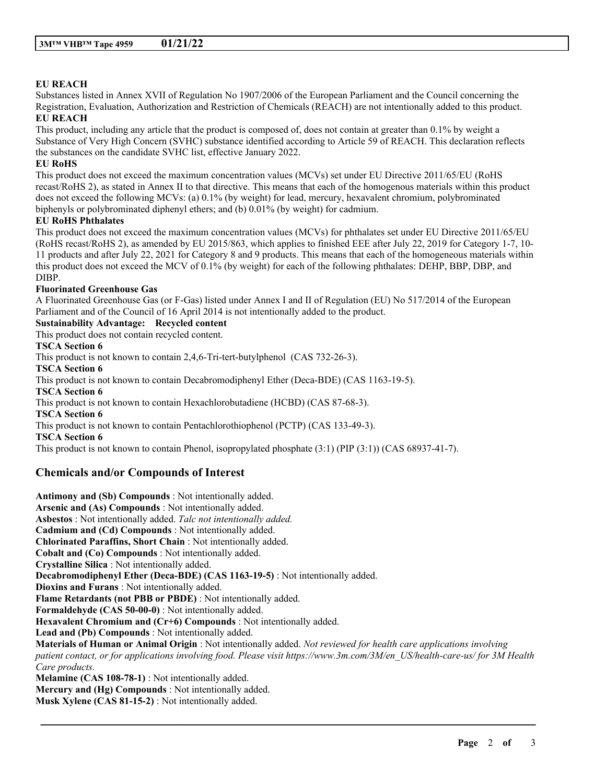## **EU REACH**

Substances listed in Annex XVII of Regulation No 1907/2006 of the European Parliament and the Council concerning the Registration, Evaluation, Authorization and Restriction of Chemicals (REACH) are not intentionally added to this product. **EU REACH**

This product, including any article that the product is composed of, does not contain at greater than 0.1% by weight a Substance of Very High Concern (SVHC) substance identified according to Article 59 of REACH. This declaration reflects the substances on the candidate SVHC list, effective January 2022.

#### **EU RoHS**

This product does not exceed the maximum concentration values (MCVs) set under EU Directive 2011/65/EU (RoHS recast/RoHS 2), as stated in Annex II to that directive. This means that each of the homogenous materials within this product does not exceed the following MCVs: (a) 0.1% (by weight) for lead, mercury, hexavalent chromium, polybrominated biphenyls or polybrominated diphenyl ethers; and (b) 0.01% (by weight) for cadmium.

#### **EU RoHS Phthalates**

This product does not exceed the maximum concentration values (MCVs) for phthalates set under EU Directive 2011/65/EU (RoHS recast/RoHS 2), as amended by EU 2015/863, which applies to finished EEE after July 22, 2019 for Category 1-7, 10- 11 products and after July 22, 2021 for Category 8 and 9 products. This means that each of the homogeneous materials within this product does not exceed the MCV of 0.1% (by weight) for each of the following phthalates: DEHP, BBP, DBP, and DIBP.

#### **Fluorinated Greenhouse Gas**

A Fluorinated Greenhouse Gas (or F-Gas) listed under Annex I and II of Regulation (EU) No 517/2014 of the European Parliament and of the Council of 16 April 2014 is not intentionally added to the product.

### **Sustainability Advantage: Recycled content**

This product does not contain recycled content.

#### **TSCA Section 6**

This product is not known to contain 2,4,6-Tri-tert-butylphenol (CAS 732-26-3).

**TSCA Section 6**

This product is not known to contain Decabromodiphenyl Ether (Deca-BDE) (CAS 1163-19-5).

**TSCA Section 6**

This product is not known to contain Hexachlorobutadiene (HCBD) (CAS 87-68-3).

**TSCA Section 6**

This product is not known to contain Pentachlorothiophenol (PCTP) (CAS 133-49-3).

**TSCA Section 6**

This product is not known to contain Phenol, isopropylated phosphate (3:1) (PIP (3:1)) (CAS 68937-41-7).

# **Chemicals and/or Compounds of Interest**

**Antimony and (Sb) Compounds** : Not intentionally added. **Arsenic and (As) Compounds** : Not intentionally added. **Asbestos** : Not intentionally added. *Talc not intentionally added.* **Cadmium and (Cd) Compounds** : Not intentionally added. **Chlorinated Paraffins, Short Chain** : Not intentionally added. **Cobalt and (Co) Compounds** : Not intentionally added. **Crystalline Silica** : Not intentionally added. **Decabromodiphenyl Ether (Deca-BDE) (CAS 1163-19-5)** : Not intentionally added. **Dioxins and Furans** : Not intentionally added. **Flame Retardants (not PBB or PBDE)** : Not intentionally added. **Formaldehyde (CAS 50-00-0)** : Not intentionally added. **Hexavalent Chromium and (Cr+6) Compounds** : Not intentionally added. **Lead and (Pb) Compounds** : Not intentionally added. **Materials of Human or Animal Origin** : Not intentionally added. *Not reviewed for health care applications involving patient contact, or for applications involving food. Please visit https://www.3m.com/3M/en\_US/health-care-us/ for 3M Health Care products.* **Melamine (CAS 108-78-1)** : Not intentionally added. **Mercury and (Hg) Compounds** : Not intentionally added. **Musk Xylene (CAS 81-15-2)** : Not intentionally added.

\_\_\_\_\_\_\_\_\_\_\_\_\_\_\_\_\_\_\_\_\_\_\_\_\_\_\_\_\_\_\_\_\_\_\_\_\_\_\_\_\_\_\_\_\_\_\_\_\_\_\_\_\_\_\_\_\_\_\_\_\_\_\_\_\_\_\_\_\_\_\_\_\_\_\_\_\_\_\_\_\_\_\_\_\_\_\_\_\_\_